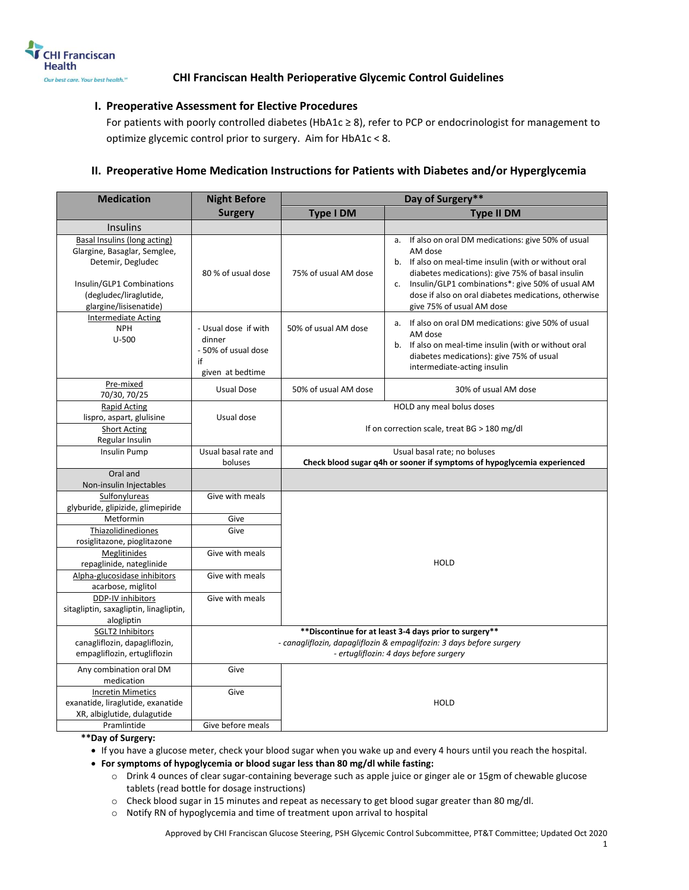

### **I. Preoperative Assessment for Elective Procedures**

For patients with poorly controlled diabetes (HbA1c ≥ 8), refer to PCP or endocrinologist for management to optimize glycemic control prior to surgery. Aim for HbA1c < 8.

## **II. Preoperative Home Medication Instructions for Patients with Diabetes and/or Hyperglycemia**

| <b>Medication</b>                                                                                                                                                  | <b>Night Before</b>                                                             | Day of Surgery**                                                                                                                                                          |                                                                                                                                                                                                                                                                                                                                |  |
|--------------------------------------------------------------------------------------------------------------------------------------------------------------------|---------------------------------------------------------------------------------|---------------------------------------------------------------------------------------------------------------------------------------------------------------------------|--------------------------------------------------------------------------------------------------------------------------------------------------------------------------------------------------------------------------------------------------------------------------------------------------------------------------------|--|
|                                                                                                                                                                    | <b>Surgery</b>                                                                  | <b>Type I DM</b><br><b>Type II DM</b>                                                                                                                                     |                                                                                                                                                                                                                                                                                                                                |  |
| <b>Insulins</b>                                                                                                                                                    |                                                                                 |                                                                                                                                                                           |                                                                                                                                                                                                                                                                                                                                |  |
| Basal Insulins (long acting)<br>Glargine, Basaglar, Semglee,<br>Detemir, Degludec<br>Insulin/GLP1 Combinations<br>(degludec/liraglutide,<br>glargine/lisisenatide) | 80 % of usual dose                                                              | 75% of usual AM dose                                                                                                                                                      | If also on oral DM medications: give 50% of usual<br>a.<br>AM dose<br>b. If also on meal-time insulin (with or without oral<br>diabetes medications): give 75% of basal insulin<br>Insulin/GLP1 combinations*: give 50% of usual AM<br>c.<br>dose if also on oral diabetes medications, otherwise<br>give 75% of usual AM dose |  |
| <b>Intermediate Acting</b><br><b>NPH</b><br>$U - 500$                                                                                                              | - Usual dose if with<br>dinner<br>- 50% of usual dose<br>if<br>given at bedtime | 50% of usual AM dose                                                                                                                                                      | a. If also on oral DM medications: give 50% of usual<br>AM dose<br>b. If also on meal-time insulin (with or without oral<br>diabetes medications): give 75% of usual<br>intermediate-acting insulin                                                                                                                            |  |
| Pre-mixed<br>70/30, 70/25                                                                                                                                          | <b>Usual Dose</b>                                                               | 50% of usual AM dose                                                                                                                                                      | 30% of usual AM dose                                                                                                                                                                                                                                                                                                           |  |
| <b>Rapid Acting</b><br>lispro, aspart, glulisine<br><b>Short Acting</b><br>Regular Insulin                                                                         | Usual dose                                                                      | HOLD any meal bolus doses<br>If on correction scale, treat BG > 180 mg/dl                                                                                                 |                                                                                                                                                                                                                                                                                                                                |  |
| Insulin Pump                                                                                                                                                       | Usual basal rate and<br>boluses                                                 | Usual basal rate; no boluses<br>Check blood sugar q4h or sooner if symptoms of hypoglycemia experienced                                                                   |                                                                                                                                                                                                                                                                                                                                |  |
| Oral and<br>Non-insulin Injectables                                                                                                                                |                                                                                 |                                                                                                                                                                           |                                                                                                                                                                                                                                                                                                                                |  |
| Sulfonylureas<br>glyburide, glipizide, glimepiride                                                                                                                 | Give with meals                                                                 |                                                                                                                                                                           |                                                                                                                                                                                                                                                                                                                                |  |
| Metformin                                                                                                                                                          | Give                                                                            |                                                                                                                                                                           |                                                                                                                                                                                                                                                                                                                                |  |
| Thiazolidinediones<br>rosiglitazone, pioglitazone                                                                                                                  | Give                                                                            |                                                                                                                                                                           |                                                                                                                                                                                                                                                                                                                                |  |
| Meglitinides<br>repaglinide, nateglinide                                                                                                                           | Give with meals                                                                 | <b>HOLD</b>                                                                                                                                                               |                                                                                                                                                                                                                                                                                                                                |  |
| Alpha-glucosidase inhibitors<br>acarbose, miglitol                                                                                                                 | Give with meals                                                                 |                                                                                                                                                                           |                                                                                                                                                                                                                                                                                                                                |  |
| DDP-IV inhibitors<br>sitagliptin, saxagliptin, linagliptin,<br>alogliptin                                                                                          | Give with meals                                                                 |                                                                                                                                                                           |                                                                                                                                                                                                                                                                                                                                |  |
| SGLT2 Inhibitors<br>canagliflozin, dapagliflozin,<br>empagliflozin, ertugliflozin                                                                                  |                                                                                 | ** Discontinue for at least 3-4 days prior to surgery**<br>- canagliflozin, dapagliflozin & empaglifozin: 3 days before surgery<br>- ertugliflozin: 4 days before surgery |                                                                                                                                                                                                                                                                                                                                |  |
| Any combination oral DM<br>medication                                                                                                                              | Give                                                                            |                                                                                                                                                                           |                                                                                                                                                                                                                                                                                                                                |  |
| <b>Incretin Mimetics</b><br>exanatide, liraglutide, exanatide<br>XR, albiglutide, dulagutide                                                                       | Give                                                                            |                                                                                                                                                                           | <b>HOLD</b>                                                                                                                                                                                                                                                                                                                    |  |
| Pramlintide                                                                                                                                                        | Give before meals                                                               |                                                                                                                                                                           |                                                                                                                                                                                                                                                                                                                                |  |

**\*\*Day of Surgery:** 

If you have a glucose meter, check your blood sugar when you wake up and every 4 hours until you reach the hospital.

**For symptoms of hypoglycemia or blood sugar less than 80 mg/dl while fasting:**

o Drink 4 ounces of clear sugar-containing beverage such as apple juice or ginger ale or 15gm of chewable glucose tablets (read bottle for dosage instructions)

 $\circ$  Check blood sugar in 15 minutes and repeat as necessary to get blood sugar greater than 80 mg/dl.

o Notify RN of hypoglycemia and time of treatment upon arrival to hospital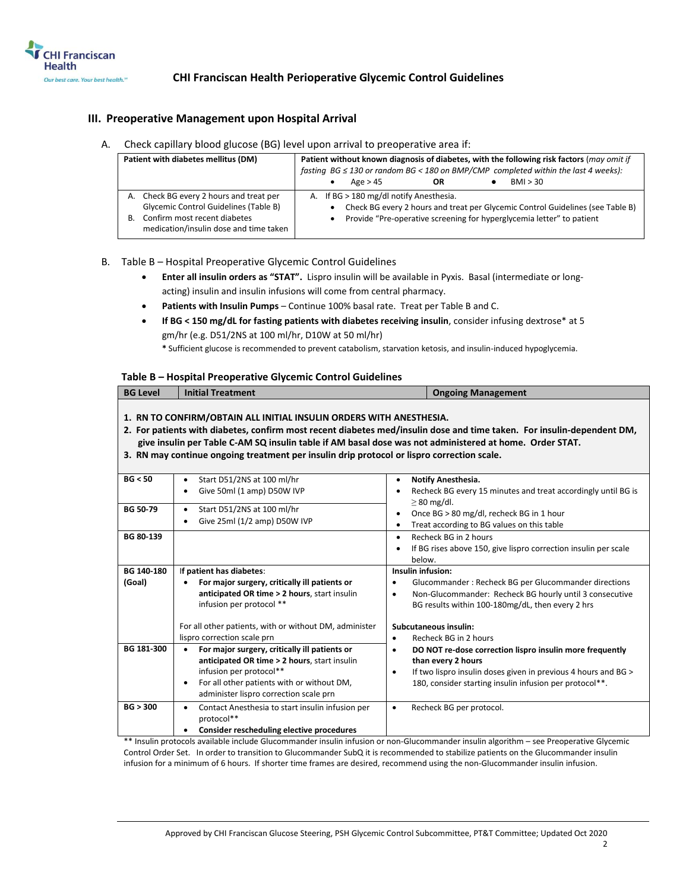

### **III. Preoperative Management upon Hospital Arrival**

A. Check capillary blood glucose (BG) level upon arrival to preoperative area if:

| Patient with diabetes mellitus (DM)                                                                                                                                     | Patient without known diagnosis of diabetes, with the following risk factors (may omit if<br>fasting $BG \leq 130$ or random $BG < 180$ on BMP/CMP completed within the last 4 weeks):<br>BMI > 30<br>Age > 45<br>OR |
|-------------------------------------------------------------------------------------------------------------------------------------------------------------------------|----------------------------------------------------------------------------------------------------------------------------------------------------------------------------------------------------------------------|
| A. Check BG every 2 hours and treat per<br><b>Glycemic Control Guidelines (Table B)</b><br>Confirm most recent diabetes<br>В.<br>medication/insulin dose and time taken | A. If BG > 180 mg/dl notify Anesthesia.<br>Check BG every 2 hours and treat per Glycemic Control Guidelines (see Table B)<br>Provide "Pre-operative screening for hyperglycemia letter" to patient                   |

- B. Table B Hospital Preoperative Glycemic Control Guidelines
	- **Enter all insulin orders as "STAT".** Lispro insulin will be available in Pyxis. Basal (intermediate or longacting) insulin and insulin infusions will come from central pharmacy.
	- **Patients with Insulin Pumps** Continue 100% basal rate. Treat per Table B and C.
	- **If BG < 150 mg/dL for fasting patients with diabetes receiving insulin**, consider infusing dextrose\* at 5 gm/hr (e.g. D51/2NS at 100 ml/hr, D10W at 50 ml/hr)

**\*** Sufficient glucose is recommended to prevent catabolism, starvation ketosis, and insulin-induced hypoglycemia.

### **Table B – Hospital Preoperative Glycemic Control Guidelines**

| <b>BG Level</b> | <b>Initial Treatment</b>                                                                                                                                                                                                                                                     | <b>Ongoing Management</b>                                                                                                                                                                                                             |
|-----------------|------------------------------------------------------------------------------------------------------------------------------------------------------------------------------------------------------------------------------------------------------------------------------|---------------------------------------------------------------------------------------------------------------------------------------------------------------------------------------------------------------------------------------|
|                 | 1. RN TO CONFIRM/OBTAIN ALL INITIAL INSULIN ORDERS WITH ANESTHESIA.<br>give insulin per Table C-AM SQ insulin table if AM basal dose was not administered at home. Order STAT.<br>3. RN may continue ongoing treatment per insulin drip protocol or lispro correction scale. | 2. For patients with diabetes, confirm most recent diabetes med/insulin dose and time taken. For insulin-dependent DM,                                                                                                                |
| BG < 50         | Start D51/2NS at 100 ml/hr<br>Give 50ml (1 amp) D50W IVP                                                                                                                                                                                                                     | Notify Anesthesia.<br>Recheck BG every 15 minutes and treat accordingly until BG is                                                                                                                                                   |
| <b>BG 50-79</b> | Start D51/2NS at 100 ml/hr<br>$\bullet$<br>Give 25ml (1/2 amp) D50W IVP                                                                                                                                                                                                      | $\geq$ 80 mg/dl.<br>Once BG > 80 mg/dl, recheck BG in 1 hour<br>$\bullet$<br>Treat according to BG values on this table<br>$\bullet$                                                                                                  |
| BG 80-139       |                                                                                                                                                                                                                                                                              | Recheck BG in 2 hours<br>$\bullet$<br>If BG rises above 150, give lispro correction insulin per scale<br>below.                                                                                                                       |
| BG 140-180      | If patient has diabetes:                                                                                                                                                                                                                                                     | Insulin infusion:                                                                                                                                                                                                                     |
| (Goal)          | For major surgery, critically ill patients or<br>anticipated OR time > 2 hours, start insulin<br>infusion per protocol **<br>For all other patients, with or without DM, administer                                                                                          | Glucommander: Recheck BG per Glucommander directions<br>Non-Glucommander: Recheck BG hourly until 3 consecutive<br>$\bullet$<br>BG results within 100-180mg/dL, then every 2 hrs<br>Subcutaneous insulin:                             |
|                 | lispro correction scale prn                                                                                                                                                                                                                                                  | Recheck BG in 2 hours<br>$\bullet$                                                                                                                                                                                                    |
| BG 181-300      | For major surgery, critically ill patients or<br>anticipated OR time > 2 hours, start insulin<br>infusion per protocol**<br>For all other patients with or without DM,<br>administer lispro correction scale prn                                                             | DO NOT re-dose correction lispro insulin more frequently<br>$\bullet$<br>than every 2 hours<br>If two lispro insulin doses given in previous 4 hours and BG ><br>$\bullet$<br>180, consider starting insulin infusion per protocol**. |
| BG > 300        | Contact Anesthesia to start insulin infusion per<br>protocol**<br>Consider rescheduling elective procedures<br>$\mathbf{u}$ and $\mathbf{v}$ and $\mathbf{v}$ and $\mathbf{v}$<br>$\sim$ $\sim$ $\sim$ $\sim$ $\sim$ $\sim$ $\sim$ $\sim$                                    | Recheck BG per protocol.<br>$\bullet$<br>and the contract of the contract of the contract of the contract of the contract of<br>$\sim$                                                                                                |

\*\* Insulin protocols available include Glucommander insulin infusion or non-Glucommander insulin algorithm – see Preoperative Glycemic Control Order Set. In order to transition to Glucommander SubQ it is recommended to stabilize patients on the Glucommander insulin infusion for a minimum of 6 hours. If shorter time frames are desired, recommend using the non-Glucommander insulin infusion.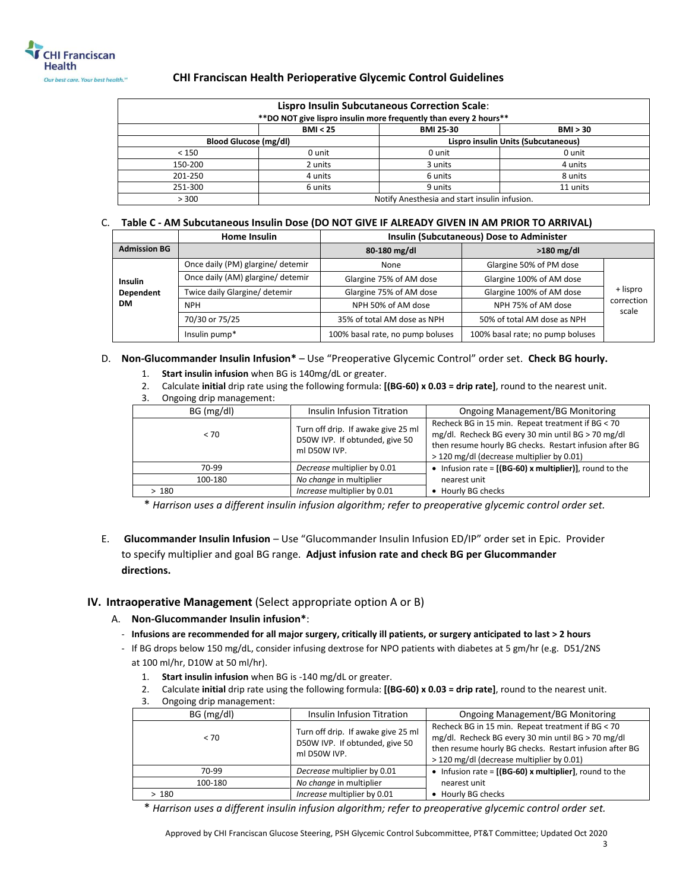

| <b>Lispro Insulin Subcutaneous Correction Scale:</b><br>** DO NOT give lispro insulin more frequently than every 2 hours** |                                               |                  |          |
|----------------------------------------------------------------------------------------------------------------------------|-----------------------------------------------|------------------|----------|
|                                                                                                                            | BMI < 25                                      | <b>BMI 25-30</b> | BMI > 30 |
| Lispro insulin Units (Subcutaneous)<br><b>Blood Glucose (mg/dl)</b>                                                        |                                               |                  |          |
| < 150                                                                                                                      | 0 unit                                        | 0 unit           | 0 unit   |
| 150-200                                                                                                                    | 2 units                                       | 3 units          | 4 units  |
| 201-250                                                                                                                    | 4 units                                       | 6 units          | 8 units  |
| 251-300                                                                                                                    | 6 units                                       | 9 units          | 11 units |
| > 300                                                                                                                      | Notify Anesthesia and start insulin infusion. |                  |          |

### C. **Table C - AM Subcutaneous Insulin Dose (DO NOT GIVE IF ALREADY GIVEN IN AM PRIOR TO ARRIVAL)**

|                     | <b>Home Insulin</b>               | <b>Insulin (Subcutaneous) Dose to Administer</b> |                                  |                     |
|---------------------|-----------------------------------|--------------------------------------------------|----------------------------------|---------------------|
| <b>Admission BG</b> |                                   | 80-180 mg/dl                                     | $>180$ mg/dl                     |                     |
|                     | Once daily (PM) glargine/ detemir | None                                             | Glargine 50% of PM dose          |                     |
| <b>Insulin</b>      | Once daily (AM) glargine/ detemir | Glargine 75% of AM dose                          | Glargine 100% of AM dose         |                     |
| Dependent           | Twice daily Glargine/ detemir     | Glargine 75% of AM dose                          | Glargine 100% of AM dose         | + lispro            |
| <b>DM</b>           | <b>NPH</b>                        | NPH 50% of AM dose                               | NPH 75% of AM dose               | correction<br>scale |
|                     | 70/30 or 75/25                    | 35% of total AM dose as NPH                      | 50% of total AM dose as NPH      |                     |
|                     | Insulin pump*                     | 100% basal rate, no pump boluses                 | 100% basal rate; no pump boluses |                     |

### D. **Non-Glucommander Insulin Infusion\*** – Use "Preoperative Glycemic Control" order set. **Check BG hourly.**

- 1. **Start insulin infusion** when BG is 140mg/dL or greater.
- 2. Calculate **initial** drip rate using the following formula: **[(BG-60) x 0.03 = drip rate]**, round to the nearest unit.
- 3. Ongoing drip management:

| $\mathbf{u}$ . $\mathbf{u}$ . The set of $\mathbf{u}$ |                                                                                      |                                                                                                                                                                                                                 |
|-------------------------------------------------------|--------------------------------------------------------------------------------------|-----------------------------------------------------------------------------------------------------------------------------------------------------------------------------------------------------------------|
| BG (mg/dl)                                            | Insulin Infusion Titration                                                           | <b>Ongoing Management/BG Monitoring</b>                                                                                                                                                                         |
| < 70                                                  | Turn off drip. If awake give 25 ml<br>D50W IVP. If obtunded, give 50<br>ml D50W IVP. | Recheck BG in 15 min. Repeat treatment if BG < 70<br>mg/dl. Recheck BG every 30 min until BG > 70 mg/dl<br>then resume hourly BG checks. Restart infusion after BG<br>> 120 mg/dl (decrease multiplier by 0.01) |
| 70-99                                                 | Decrease multiplier by 0.01                                                          | • Infusion rate = $[(BG-60)$ x multiplier)], round to the                                                                                                                                                       |
| 100-180                                               | No change in multiplier                                                              | nearest unit                                                                                                                                                                                                    |
| >180                                                  | Increase multiplier by 0.01                                                          | Hourly BG checks                                                                                                                                                                                                |

\* *Harrison uses a different insulin infusion algorithm; refer to preoperative glycemic control order set.*

E. **Glucommander Insulin Infusion** – Use "Glucommander Insulin Infusion ED/IP" order set in Epic. Provider to specify multiplier and goal BG range. **Adjust infusion rate and check BG per Glucommander directions.**

### **IV. Intraoperative Management** (Select appropriate option A or B)

- A. **Non-Glucommander Insulin infusion\***:
	- **Infusions are recommended for all major surgery, critically ill patients, or surgery anticipated to last > 2 hours**
	- If BG drops below 150 mg/dL, consider infusing dextrose for NPO patients with diabetes at 5 gm/hr (e.g. D51/2NS at 100 ml/hr, D10W at 50 ml/hr).
		- 1. **Start insulin infusion** when BG is -140 mg/dL or greater.
		- 2. Calculate **initial** drip rate using the following formula: **[(BG-60) x 0.03 = drip rate]**, round to the nearest unit.
		- 3. Ongoing drip management:

| Insulin Infusion Titration                                                           | Ongoing Management/BG Monitoring                                                                                                                                                                                |  |
|--------------------------------------------------------------------------------------|-----------------------------------------------------------------------------------------------------------------------------------------------------------------------------------------------------------------|--|
| Turn off drip. If awake give 25 ml<br>D50W IVP. If obtunded, give 50<br>ml D50W IVP. | Recheck BG in 15 min. Repeat treatment if BG < 70<br>mg/dl. Recheck BG every 30 min until BG > 70 mg/dl<br>then resume hourly BG checks. Restart infusion after BG<br>> 120 mg/dl (decrease multiplier by 0.01) |  |
| Decrease multiplier by 0.01                                                          | • Infusion rate = $[(BG-60)$ x multiplier], round to the                                                                                                                                                        |  |
| No change in multiplier                                                              | nearest unit                                                                                                                                                                                                    |  |
| Increase multiplier by 0.01                                                          | Hourly BG checks                                                                                                                                                                                                |  |
|                                                                                      |                                                                                                                                                                                                                 |  |

\* *Harrison uses a different insulin infusion algorithm; refer to preoperative glycemic control order set.*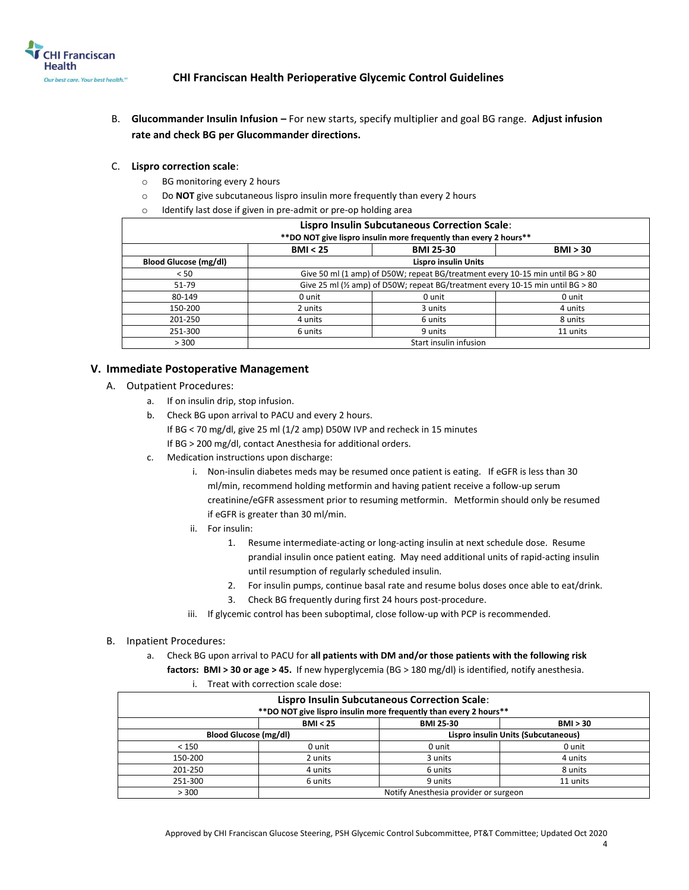

B. **Glucommander Insulin Infusion –** For new starts, specify multiplier and goal BG range. **Adjust infusion rate and check BG per Glucommander directions.**

### C. **Lispro correction scale**:

- o BG monitoring every 2 hours
- o Do **NOT** give subcutaneous lispro insulin more frequently than every 2 hours
- o Identify last dose if given in pre-admit or pre-op holding area

| <b>Lispro Insulin Subcutaneous Correction Scale:</b><br>** DO NOT give lispro insulin more frequently than every 2 hours** |                                                                               |                                                                                            |          |  |
|----------------------------------------------------------------------------------------------------------------------------|-------------------------------------------------------------------------------|--------------------------------------------------------------------------------------------|----------|--|
|                                                                                                                            | BMI < 25                                                                      | <b>BMI 25-30</b>                                                                           | BMI > 30 |  |
| <b>Blood Glucose (mg/dl)</b>                                                                                               | <b>Lispro insulin Units</b>                                                   |                                                                                            |          |  |
| < 50                                                                                                                       | Give 50 ml (1 amp) of D50W; repeat BG/treatment every 10-15 min until BG > 80 |                                                                                            |          |  |
| 51-79                                                                                                                      |                                                                               | Give 25 ml ( $\frac{1}{2}$ amp) of D50W; repeat BG/treatment every 10-15 min until BG > 80 |          |  |
| 80-149                                                                                                                     | 0 unit                                                                        | 0 unit                                                                                     | 0 unit   |  |
| 150-200                                                                                                                    | 2 units                                                                       | 3 units                                                                                    | 4 units  |  |
| 201-250                                                                                                                    | 4 units                                                                       | 6 units                                                                                    | 8 units  |  |
| 251-300                                                                                                                    | 6 units                                                                       | 9 units                                                                                    | 11 units |  |
| > 300                                                                                                                      | Start insulin infusion                                                        |                                                                                            |          |  |

### **V. Immediate Postoperative Management**

- A. Outpatient Procedures:
	- a. If on insulin drip, stop infusion.
	- b. Check BG upon arrival to PACU and every 2 hours. If BG < 70 mg/dl, give 25 ml (1/2 amp) D50W IVP and recheck in 15 minutes If BG > 200 mg/dl, contact Anesthesia for additional orders.
	- c. Medication instructions upon discharge:
		- i. Non-insulin diabetes meds may be resumed once patient is eating. If eGFR is less than 30 ml/min, recommend holding metformin and having patient receive a follow-up serum creatinine/eGFR assessment prior to resuming metformin. Metformin should only be resumed if eGFR is greater than 30 ml/min.
		- ii. For insulin:
			- 1. Resume intermediate-acting or long-acting insulin at next schedule dose. Resume prandial insulin once patient eating. May need additional units of rapid-acting insulin until resumption of regularly scheduled insulin.
			- 2. For insulin pumps, continue basal rate and resume bolus doses once able to eat/drink.
			- 3. Check BG frequently during first 24 hours post-procedure.
		- iii. If glycemic control has been suboptimal, close follow-up with PCP is recommended.
- B. Inpatient Procedures:

a. Check BG upon arrival to PACU for **all patients with DM and/or those patients with the following risk factors: BMI > 30 or age > 45.** If new hyperglycemia (BG > 180 mg/dl) is identified, notify anesthesia.

i. Treat with correction scale dose:

|         |                                                                     | <b>Lispro Insulin Subcutaneous Correction Scale:</b>               |          |
|---------|---------------------------------------------------------------------|--------------------------------------------------------------------|----------|
|         |                                                                     | ** DO NOT give lispro insulin more frequently than every 2 hours** |          |
|         | BMI < 25                                                            | <b>BMI 25-30</b>                                                   | BMI > 30 |
|         | Lispro insulin Units (Subcutaneous)<br><b>Blood Glucose (mg/dl)</b> |                                                                    |          |
| < 150   | 0 unit                                                              | 0 unit                                                             | 0 unit   |
| 150-200 | 2 units                                                             | 3 units                                                            | 4 units  |
| 201-250 | 4 units                                                             | 6 units                                                            | 8 units  |
| 251-300 | 6 units                                                             | 9 units                                                            | 11 units |
| > 300   | Notify Anesthesia provider or surgeon                               |                                                                    |          |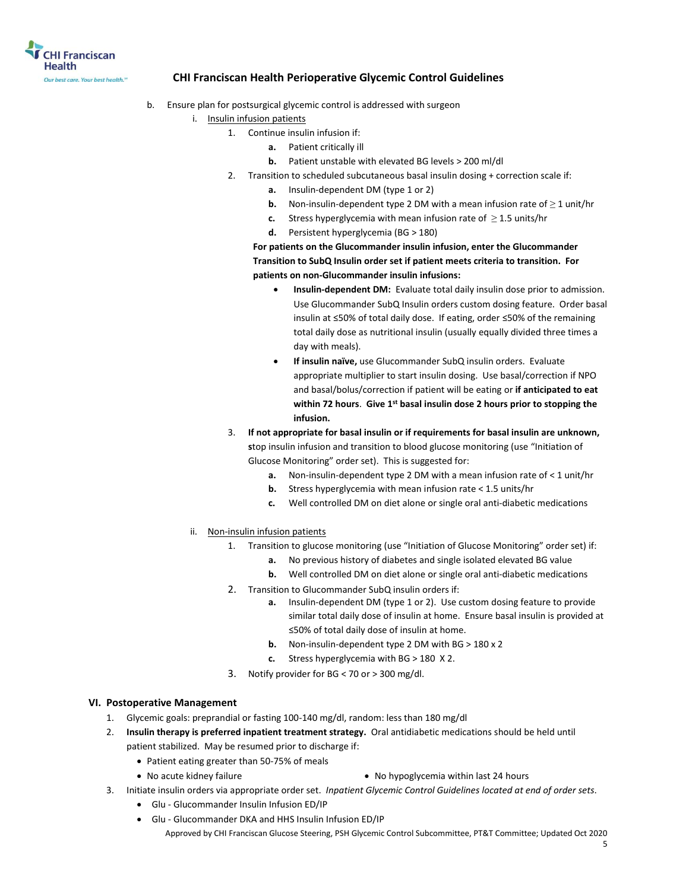

- b. Ensure plan for postsurgical glycemic control is addressed with surgeon
	- i. Insulin infusion patients
		- 1. Continue insulin infusion if:
			- **a.** Patient critically ill
			- **b.** Patient unstable with elevated BG levels > 200 ml/dl
		- 2. Transition to scheduled subcutaneous basal insulin dosing + correction scale if:
			- **a.** Insulin-dependent DM (type 1 or 2)
			- **b.** Non-insulin-dependent type 2 DM with a mean infusion rate of ≥ 1 unit/hr
			- **c.** Stress hyperglycemia with mean infusion rate of  $\geq$  1.5 units/hr
			- **d.** Persistent hyperglycemia (BG > 180)

**For patients on the Glucommander insulin infusion, enter the Glucommander Transition to SubQ Insulin order set if patient meets criteria to transition. For patients on non-Glucommander insulin infusions:**

- **Insulin-dependent DM:** Evaluate total daily insulin dose prior to admission. Use Glucommander SubQ Insulin orders custom dosing feature. Order basal insulin at ≤50% of total daily dose. If eating, order ≤50% of the remaining total daily dose as nutritional insulin (usually equally divided three times a day with meals).
- **If insulin naïve,** use Glucommander SubQ insulin orders. Evaluate appropriate multiplier to start insulin dosing. Use basal/correction if NPO and basal/bolus/correction if patient will be eating or **if anticipated to eat within 72 hours**. **Give 1st basal insulin dose 2 hours prior to stopping the infusion.**
- 3. **If not appropriate for basal insulin or if requirements for basal insulin are unknown, s**top insulin infusion and transition to blood glucose monitoring (use "Initiation of Glucose Monitoring" order set). This is suggested for:
	- **a.** Non-insulin-dependent type 2 DM with a mean infusion rate of < 1 unit/hr
	- **b.** Stress hyperglycemia with mean infusion rate < 1.5 units/hr
	- **c.** Well controlled DM on diet alone or single oral anti-diabetic medications
- ii. Non-insulin infusion patients
	- 1. Transition to glucose monitoring (use "Initiation of Glucose Monitoring" order set) if:
		- **a.** No previous history of diabetes and single isolated elevated BG value
		- **b.** Well controlled DM on diet alone or single oral anti-diabetic medications
	- 2. Transition to Glucommander SubQ insulin orders if:
		- **a.** Insulin-dependent DM (type 1 or 2). Use custom dosing feature to provide similar total daily dose of insulin at home. Ensure basal insulin is provided at ≤50% of total daily dose of insulin at home.
		- **b.** Non-insulin-dependent type 2 DM with BG > 180 x 2
		- **c.** Stress hyperglycemia with BG > 180 X 2.
	- 3. Notify provider for BG < 70 or > 300 mg/dl.

### **VI. Postoperative Management**

- 1. Glycemic goals: preprandial or fasting 100-140 mg/dl, random: less than 180 mg/dl
- 2. **Insulin therapy is preferred inpatient treatment strategy.** Oral antidiabetic medications should be held until patient stabilized. May be resumed prior to discharge if:
	- Patient eating greater than 50-75% of meals
		-
	- No acute kidney failure **No hypoglycemia within last 24 hours No hypoglycemia within last 24 hours**
- 3. Initiate insulin orders via appropriate order set. *Inpatient Glycemic Control Guidelines located at end of order sets*.
	- Glu Glucommander Insulin Infusion ED/IP
	- Approved by CHI Franciscan Glucose Steering, PSH Glycemic Control Subcommittee, PT&T Committee; Updated Oct 2020 Glu - Glucommander DKA and HHS Insulin Infusion ED/IP